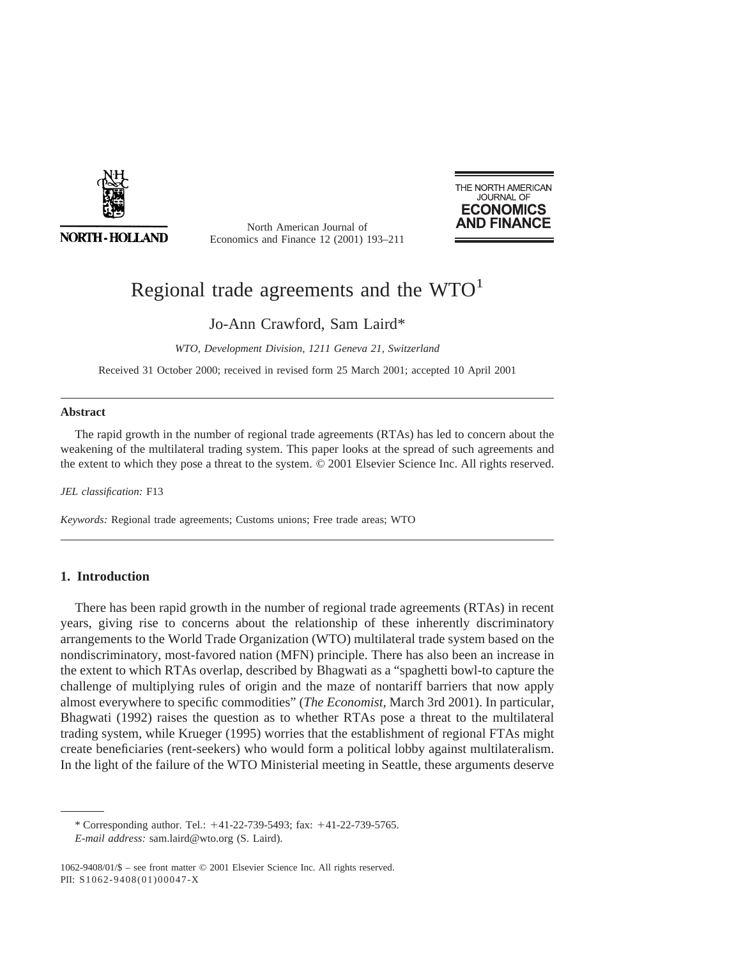

**NORTH-HOLLAND** 

North American Journal of Economics and Finance 12 (2001) 193–211



# Regional trade agreements and the  $WTO<sup>1</sup>$

Jo-Ann Crawford, Sam Laird\*

*WTO, Development Division, 1211 Geneva 21, Switzerland*

Received 31 October 2000; received in revised form 25 March 2001; accepted 10 April 2001

### **Abstract**

The rapid growth in the number of regional trade agreements (RTAs) has led to concern about the weakening of the multilateral trading system. This paper looks at the spread of such agreements and the extent to which they pose a threat to the system. © 2001 Elsevier Science Inc. All rights reserved.

*JEL classification:* F13

*Keywords:* Regional trade agreements; Customs unions; Free trade areas; WTO

## **1. Introduction**

There has been rapid growth in the number of regional trade agreements (RTAs) in recent years, giving rise to concerns about the relationship of these inherently discriminatory arrangements to the World Trade Organization (WTO) multilateral trade system based on the nondiscriminatory, most-favored nation (MFN) principle. There has also been an increase in the extent to which RTAs overlap, described by Bhagwati as a "spaghetti bowl-to capture the challenge of multiplying rules of origin and the maze of nontariff barriers that now apply almost everywhere to specific commodities" (*The Economist,* March 3rd 2001). In particular, Bhagwati (1992) raises the question as to whether RTAs pose a threat to the multilateral trading system, while Krueger (1995) worries that the establishment of regional FTAs might create beneficiaries (rent-seekers) who would form a political lobby against multilateralism. In the light of the failure of the WTO Ministerial meeting in Seattle, these arguments deserve

<sup>\*</sup> Corresponding author. Tel.:  $+41-22-739-5493$ ; fax:  $+41-22-739-5765$ . *E-mail address:* sam.laird@wto.org (S. Laird).

<sup>1062-9408/01/\$ –</sup> see front matter © 2001 Elsevier Science Inc. All rights reserved. PII: S1062-9408(01)00047-X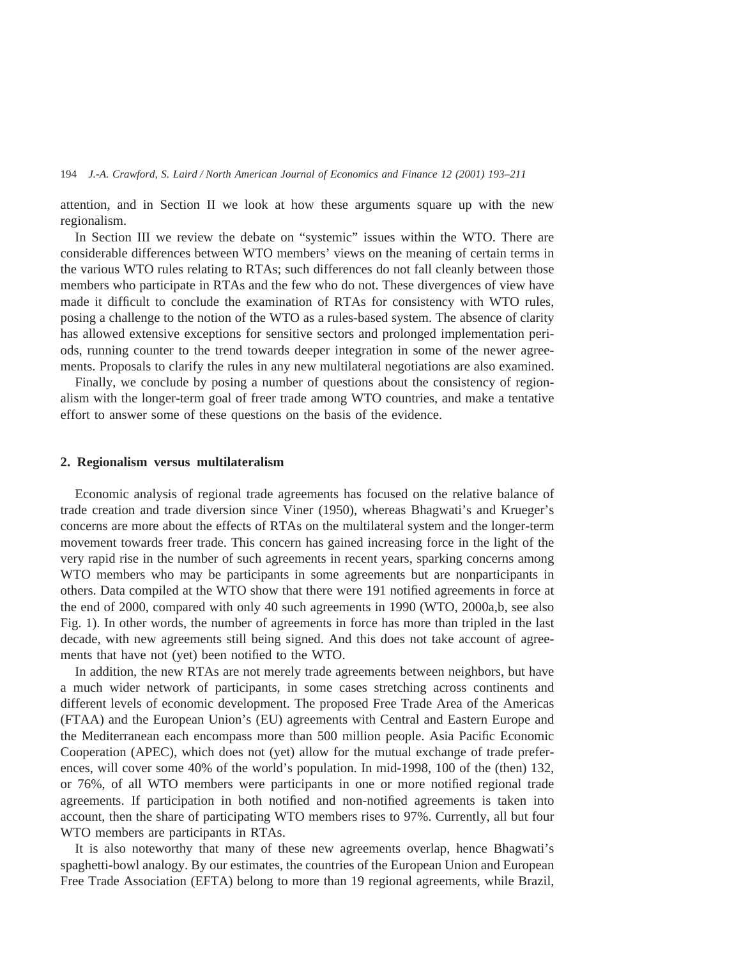attention, and in Section II we look at how these arguments square up with the new regionalism.

In Section III we review the debate on "systemic" issues within the WTO. There are considerable differences between WTO members' views on the meaning of certain terms in the various WTO rules relating to RTAs; such differences do not fall cleanly between those members who participate in RTAs and the few who do not. These divergences of view have made it difficult to conclude the examination of RTAs for consistency with WTO rules, posing a challenge to the notion of the WTO as a rules-based system. The absence of clarity has allowed extensive exceptions for sensitive sectors and prolonged implementation periods, running counter to the trend towards deeper integration in some of the newer agreements. Proposals to clarify the rules in any new multilateral negotiations are also examined.

Finally, we conclude by posing a number of questions about the consistency of regionalism with the longer-term goal of freer trade among WTO countries, and make a tentative effort to answer some of these questions on the basis of the evidence.

#### **2. Regionalism versus multilateralism**

Economic analysis of regional trade agreements has focused on the relative balance of trade creation and trade diversion since Viner (1950), whereas Bhagwati's and Krueger's concerns are more about the effects of RTAs on the multilateral system and the longer-term movement towards freer trade. This concern has gained increasing force in the light of the very rapid rise in the number of such agreements in recent years, sparking concerns among WTO members who may be participants in some agreements but are nonparticipants in others. Data compiled at the WTO show that there were 191 notified agreements in force at the end of 2000, compared with only 40 such agreements in 1990 (WTO, 2000a,b, see also Fig. 1). In other words, the number of agreements in force has more than tripled in the last decade, with new agreements still being signed. And this does not take account of agreements that have not (yet) been notified to the WTO.

In addition, the new RTAs are not merely trade agreements between neighbors, but have a much wider network of participants, in some cases stretching across continents and different levels of economic development. The proposed Free Trade Area of the Americas (FTAA) and the European Union's (EU) agreements with Central and Eastern Europe and the Mediterranean each encompass more than 500 million people. Asia Pacific Economic Cooperation (APEC), which does not (yet) allow for the mutual exchange of trade preferences, will cover some 40% of the world's population. In mid-1998, 100 of the (then) 132, or 76%, of all WTO members were participants in one or more notified regional trade agreements. If participation in both notified and non-notified agreements is taken into account, then the share of participating WTO members rises to 97%. Currently, all but four WTO members are participants in RTAs.

It is also noteworthy that many of these new agreements overlap, hence Bhagwati's spaghetti-bowl analogy. By our estimates, the countries of the European Union and European Free Trade Association (EFTA) belong to more than 19 regional agreements, while Brazil,